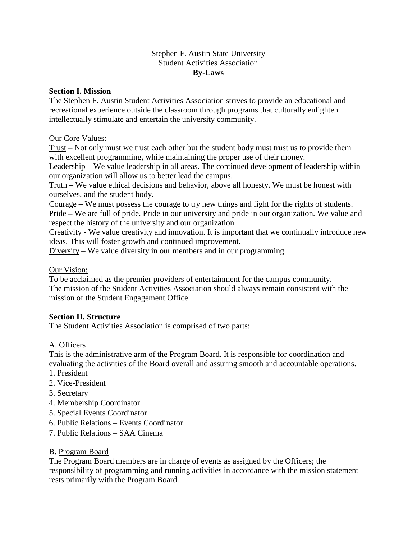### Stephen F. Austin State University Student Activities Association **By-Laws**

### **Section I. Mission**

The Stephen F. Austin Student Activities Association strives to provide an educational and recreational experience outside the classroom through programs that culturally enlighten intellectually stimulate and entertain the university community.

### Our Core Values:

Trust **–** Not only must we trust each other but the student body must trust us to provide them with excellent programming, while maintaining the proper use of their money.

Leadership **–** We value leadership in all areas. The continued development of leadership within our organization will allow us to better lead the campus.

Truth **–** We value ethical decisions and behavior, above all honesty. We must be honest with ourselves, and the student body.

Courage **–** We must possess the courage to try new things and fight for the rights of students. Pride **–** We are full of pride. Pride in our university and pride in our organization. We value and respect the history of the university and our organization.

Creativity **-** We value creativity and innovation. It is important that we continually introduce new ideas. This will foster growth and continued improvement.

Diversity – We value diversity in our members and in our programming.

### Our Vision:

To be acclaimed as the premier providers of entertainment for the campus community. The mission of the Student Activities Association should always remain consistent with the mission of the Student Engagement Office.

## **Section II. Structure**

The Student Activities Association is comprised of two parts:

## A. Officers

This is the administrative arm of the Program Board. It is responsible for coordination and evaluating the activities of the Board overall and assuring smooth and accountable operations.

- 1. President
- 2. Vice-President
- 3. Secretary
- 4. Membership Coordinator
- 5. Special Events Coordinator
- 6. Public Relations Events Coordinator
- 7. Public Relations SAA Cinema

### B. Program Board

The Program Board members are in charge of events as assigned by the Officers; the responsibility of programming and running activities in accordance with the mission statement rests primarily with the Program Board.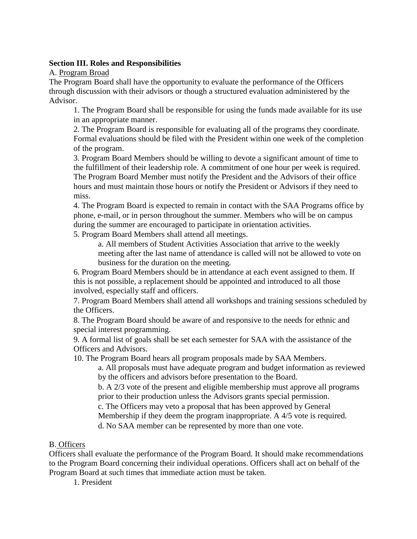### **Section III. Roles and Responsibilities**

A. Program Broad

The Program Board shall have the opportunity to evaluate the performance of the Officers through discussion with their advisors or though a structured evaluation administered by the Advisor.

1. The Program Board shall be responsible for using the funds made available for its use in an appropriate manner.

2. The Program Board is responsible for evaluating all of the programs they coordinate. Formal evaluations should be filed with the President within one week of the completion of the program.

3. Program Board Members should be willing to devote a significant amount of time to the fulfillment of their leadership role. A commitment of one hour per week is required. The Program Board Member must notify the President and the Advisors of their office hours and must maintain those hours or notify the President or Advisors if they need to miss.

4. The Program Board is expected to remain in contact with the SAA Programs office by phone, e-mail, or in person throughout the summer. Members who will be on campus during the summer are encouraged to participate in orientation activities.

5. Program Board Members shall attend all meetings.

a. All members of Student Activities Association that arrive to the weekly meeting after the last name of attendance is called will not be allowed to vote on business for the duration on the meeting.

6. Program Board Members should be in attendance at each event assigned to them. If this is not possible, a replacement should be appointed and introduced to all those involved, especially staff and officers.

7. Program Board Members shall attend all workshops and training sessions scheduled by the Officers.

8. The Program Board should be aware of and responsive to the needs for ethnic and special interest programming.

9. A formal list of goals shall be set each semester for SAA with the assistance of the Officers and Advisors.

10. The Program Board hears all program proposals made by SAA Members.

a. All proposals must have adequate program and budget information as reviewed by the officers and advisors before presentation to the Board.

b. A 2/3 vote of the present and eligible membership must approve all programs prior to their production unless the Advisors grants special permission.

c. The Officers may veto a proposal that has been approved by General

Membership if they deem the program inappropriate. A 4/5 vote is required.

d. No SAA member can be represented by more than one vote.

# B. Officers

Officers shall evaluate the performance of the Program Board. It should make recommendations to the Program Board concerning their individual operations. Officers shall act on behalf of the Program Board at such times that immediate action must be taken.

1. President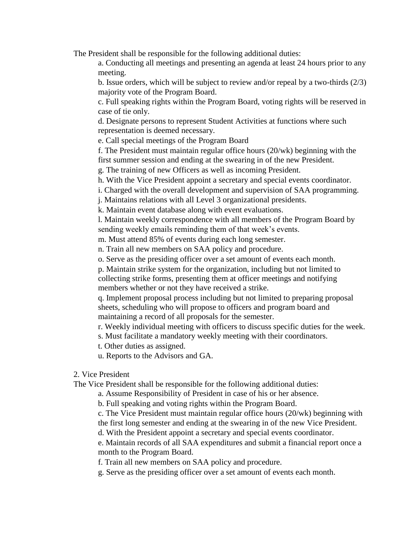The President shall be responsible for the following additional duties:

a. Conducting all meetings and presenting an agenda at least 24 hours prior to any meeting.

b. Issue orders, which will be subject to review and/or repeal by a two-thirds (2/3) majority vote of the Program Board.

c. Full speaking rights within the Program Board, voting rights will be reserved in case of tie only.

d. Designate persons to represent Student Activities at functions where such representation is deemed necessary.

e. Call special meetings of the Program Board

f. The President must maintain regular office hours (20/wk) beginning with the first summer session and ending at the swearing in of the new President.

g. The training of new Officers as well as incoming President.

h. With the Vice President appoint a secretary and special events coordinator.

i. Charged with the overall development and supervision of SAA programming.

j. Maintains relations with all Level 3 organizational presidents.

k. Maintain event database along with event evaluations.

l. Maintain weekly correspondence with all members of the Program Board by sending weekly emails reminding them of that week's events.

m. Must attend 85% of events during each long semester.

n. Train all new members on SAA policy and procedure.

o. Serve as the presiding officer over a set amount of events each month.

p. Maintain strike system for the organization, including but not limited to collecting strike forms, presenting them at officer meetings and notifying members whether or not they have received a strike.

q. Implement proposal process including but not limited to preparing proposal sheets, scheduling who will propose to officers and program board and maintaining a record of all proposals for the semester.

r. Weekly individual meeting with officers to discuss specific duties for the week.

s. Must facilitate a mandatory weekly meeting with their coordinators.

t. Other duties as assigned.

u. Reports to the Advisors and GA.

2. Vice President

The Vice President shall be responsible for the following additional duties:

a. Assume Responsibility of President in case of his or her absence.

b. Full speaking and voting rights within the Program Board.

c. The Vice President must maintain regular office hours (20/wk) beginning with the first long semester and ending at the swearing in of the new Vice President.

d. With the President appoint a secretary and special events coordinator.

e. Maintain records of all SAA expenditures and submit a financial report once a month to the Program Board.

f. Train all new members on SAA policy and procedure.

g. Serve as the presiding officer over a set amount of events each month.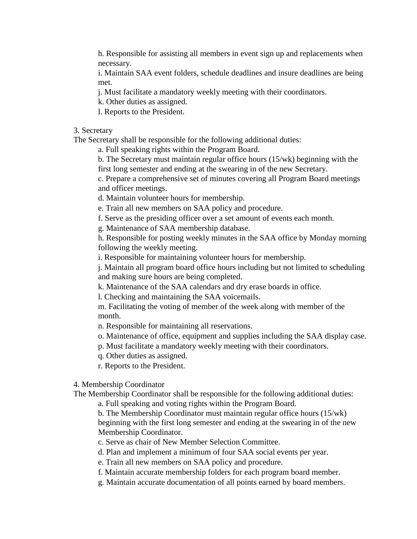h. Responsible for assisting all members in event sign up and replacements when necessary.

i. Maintain SAA event folders, schedule deadlines and insure deadlines are being met.

- j. Must facilitate a mandatory weekly meeting with their coordinators.
- k. Other duties as assigned.
- l. Reports to the President.

#### 3. Secretary

The Secretary shall be responsible for the following additional duties:

a. Full speaking rights within the Program Board.

b. The Secretary must maintain regular office hours (15/wk) beginning with the first long semester and ending at the swearing in of the new Secretary.

c. Prepare a comprehensive set of minutes covering all Program Board meetings and officer meetings.

- d. Maintain volunteer hours for membership.
- e. Train all new members on SAA policy and procedure.
- f. Serve as the presiding officer over a set amount of events each month.
- g. Maintenance of SAA membership database.

h. Responsible for posting weekly minutes in the SAA office by Monday morning following the weekly meeting.

i. Responsible for maintaining volunteer hours for membership.

j. Maintain all program board office hours including but not limited to scheduling and making sure hours are being completed.

k. Maintenance of the SAA calendars and dry erase boards in office.

l. Checking and maintaining the SAA voicemails.

m. Facilitating the voting of member of the week along with member of the month.

- n. Responsible for maintaining all reservations.
- o. Maintenance of office, equipment and supplies including the SAA display case.
- p. Must facilitate a mandatory weekly meeting with their coordinators.
- q. Other duties as assigned.
- r. Reports to the President.

#### 4. Membership Coordinator

The Membership Coordinator shall be responsible for the following additional duties:

a. Full speaking and voting rights within the Program Board.

b. The Membership Coordinator must maintain regular office hours (15/wk) beginning with the first long semester and ending at the swearing in of the new Membership Coordinator.

c. Serve as chair of New Member Selection Committee.

d. Plan and implement a minimum of four SAA social events per year.

e. Train all new members on SAA policy and procedure.

- f. Maintain accurate membership folders for each program board member.
- g. Maintain accurate documentation of all points earned by board members.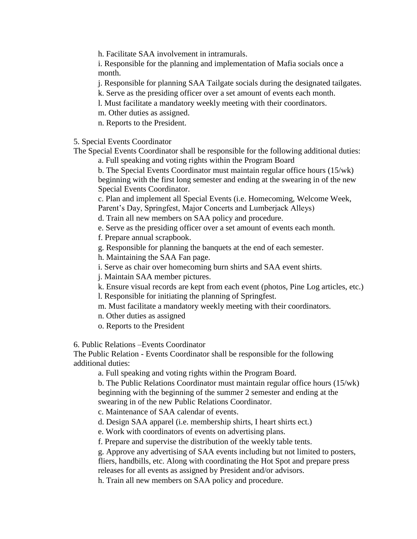h. Facilitate SAA involvement in intramurals.

i. Responsible for the planning and implementation of Mafia socials once a month.

j. Responsible for planning SAA Tailgate socials during the designated tailgates.

- k. Serve as the presiding officer over a set amount of events each month.
- l. Must facilitate a mandatory weekly meeting with their coordinators.
- m. Other duties as assigned.
- n. Reports to the President.

5. Special Events Coordinator

The Special Events Coordinator shall be responsible for the following additional duties:

a. Full speaking and voting rights within the Program Board

b. The Special Events Coordinator must maintain regular office hours (15/wk) beginning with the first long semester and ending at the swearing in of the new Special Events Coordinator.

c. Plan and implement all Special Events (i.e. Homecoming, Welcome Week, Parent's Day, Springfest, Major Concerts and Lumberjack Alleys)

d. Train all new members on SAA policy and procedure.

- e. Serve as the presiding officer over a set amount of events each month.
- f. Prepare annual scrapbook.
- g. Responsible for planning the banquets at the end of each semester.
- h. Maintaining the SAA Fan page.
- i. Serve as chair over homecoming burn shirts and SAA event shirts.
- j. Maintain SAA member pictures.
- k. Ensure visual records are kept from each event (photos, Pine Log articles, etc.) l. Responsible for initiating the planning of Springfest.
- m. Must facilitate a mandatory weekly meeting with their coordinators.
- n. Other duties as assigned
- o. Reports to the President

6. Public Relations –Events Coordinator

The Public Relation - Events Coordinator shall be responsible for the following additional duties:

a. Full speaking and voting rights within the Program Board.

b. The Public Relations Coordinator must maintain regular office hours (15/wk) beginning with the beginning of the summer 2 semester and ending at the swearing in of the new Public Relations Coordinator.

c. Maintenance of SAA calendar of events.

d. Design SAA apparel (i.e. membership shirts, I heart shirts ect.)

e. Work with coordinators of events on advertising plans.

f. Prepare and supervise the distribution of the weekly table tents.

g. Approve any advertising of SAA events including but not limited to posters, fliers, handbills, etc. Along with coordinating the Hot Spot and prepare press

releases for all events as assigned by President and/or advisors.

h. Train all new members on SAA policy and procedure.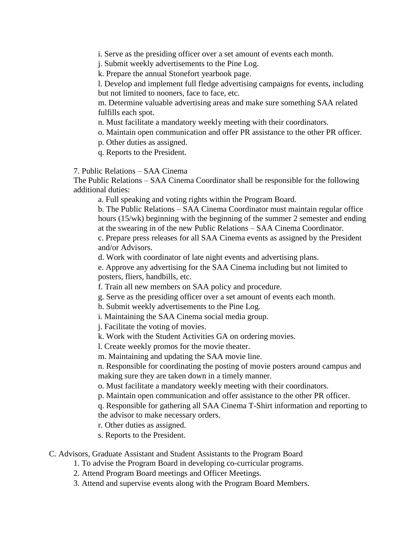i. Serve as the presiding officer over a set amount of events each month.

j. Submit weekly advertisements to the Pine Log.

k. Prepare the annual Stonefort yearbook page.

l. Develop and implement full fledge advertising campaigns for events, including but not limited to nooners, face to face, etc.

m. Determine valuable advertising areas and make sure something SAA related fulfills each spot.

n. Must facilitate a mandatory weekly meeting with their coordinators.

o. Maintain open communication and offer PR assistance to the other PR officer.

p. Other duties as assigned.

q. Reports to the President.

7. Public Relations – SAA Cinema

The Public Relations – SAA Cinema Coordinator shall be responsible for the following additional duties:

a. Full speaking and voting rights within the Program Board.

b. The Public Relations – SAA Cinema Coordinator must maintain regular office hours (15/wk) beginning with the beginning of the summer 2 semester and ending at the swearing in of the new Public Relations – SAA Cinema Coordinator. c. Prepare press releases for all SAA Cinema events as assigned by the President and/or Advisors.

d. Work with coordinator of late night events and advertising plans.

e. Approve any advertising for the SAA Cinema including but not limited to posters, fliers, handbills, etc.

f. Train all new members on SAA policy and procedure.

g. Serve as the presiding officer over a set amount of events each month.

h. Submit weekly advertisements to the Pine Log.

i. Maintaining the SAA Cinema social media group.

j. Facilitate the voting of movies.

k. Work with the Student Activities GA on ordering movies.

l. Create weekly promos for the movie theater.

m. Maintaining and updating the SAA movie line.

n. Responsible for coordinating the posting of movie posters around campus and making sure they are taken down in a timely manner.

o. Must facilitate a mandatory weekly meeting with their coordinators.

p. Maintain open communication and offer assistance to the other PR officer.

q. Responsible for gathering all SAA Cinema T-Shirt information and reporting to the advisor to make necessary orders.

r. Other duties as assigned.

s. Reports to the President.

C. Advisors, Graduate Assistant and Student Assistants to the Program Board

1. To advise the Program Board in developing co-curricular programs.

2. Attend Program Board meetings and Officer Meetings.

3. Attend and supervise events along with the Program Board Members.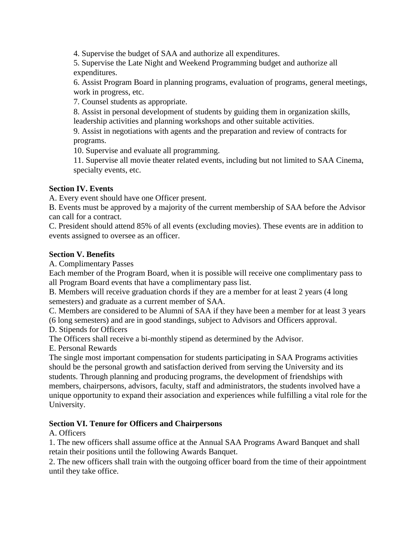4. Supervise the budget of SAA and authorize all expenditures.

5. Supervise the Late Night and Weekend Programming budget and authorize all expenditures.

6. Assist Program Board in planning programs, evaluation of programs, general meetings, work in progress, etc.

7. Counsel students as appropriate.

8. Assist in personal development of students by guiding them in organization skills, leadership activities and planning workshops and other suitable activities.

9. Assist in negotiations with agents and the preparation and review of contracts for programs.

10. Supervise and evaluate all programming.

11. Supervise all movie theater related events, including but not limited to SAA Cinema, specialty events, etc.

## **Section IV. Events**

A. Every event should have one Officer present.

B. Events must be approved by a majority of the current membership of SAA before the Advisor can call for a contract.

C. President should attend 85% of all events (excluding movies). These events are in addition to events assigned to oversee as an officer.

### **Section V. Benefits**

A. Complimentary Passes

Each member of the Program Board, when it is possible will receive one complimentary pass to all Program Board events that have a complimentary pass list.

B. Members will receive graduation chords if they are a member for at least 2 years (4 long semesters) and graduate as a current member of SAA.

C. Members are considered to be Alumni of SAA if they have been a member for at least 3 years (6 long semesters) and are in good standings, subject to Advisors and Officers approval.

D. Stipends for Officers

The Officers shall receive a bi-monthly stipend as determined by the Advisor.

E. Personal Rewards

The single most important compensation for students participating in SAA Programs activities should be the personal growth and satisfaction derived from serving the University and its students. Through planning and producing programs, the development of friendships with members, chairpersons, advisors, faculty, staff and administrators, the students involved have a unique opportunity to expand their association and experiences while fulfilling a vital role for the University.

## **Section VI. Tenure for Officers and Chairpersons**

A. Officers

1. The new officers shall assume office at the Annual SAA Programs Award Banquet and shall retain their positions until the following Awards Banquet.

2. The new officers shall train with the outgoing officer board from the time of their appointment until they take office.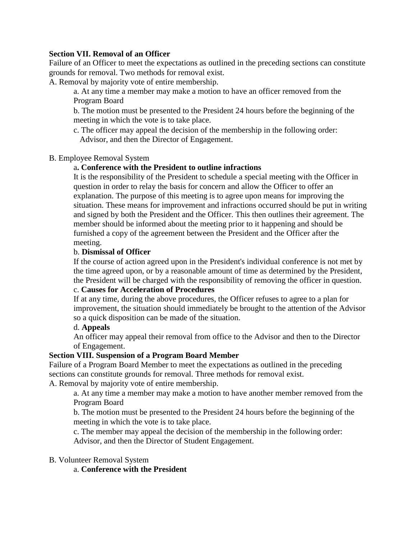### **Section VII. Removal of an Officer**

Failure of an Officer to meet the expectations as outlined in the preceding sections can constitute grounds for removal. Two methods for removal exist.

A. Removal by majority vote of entire membership.

a. At any time a member may make a motion to have an officer removed from the Program Board

b. The motion must be presented to the President 24 hours before the beginning of the meeting in which the vote is to take place.

c. The officer may appeal the decision of the membership in the following order: Advisor, and then the Director of Engagement.

#### B. Employee Removal System

#### a**. Conference with the President to outline infractions**

It is the responsibility of the President to schedule a special meeting with the Officer in question in order to relay the basis for concern and allow the Officer to offer an explanation. The purpose of this meeting is to agree upon means for improving the situation. These means for improvement and infractions occurred should be put in writing and signed by both the President and the Officer. This then outlines their agreement. The member should be informed about the meeting prior to it happening and should be furnished a copy of the agreement between the President and the Officer after the meeting.

#### b. **Dismissal of Officer**

If the course of action agreed upon in the President's individual conference is not met by the time agreed upon, or by a reasonable amount of time as determined by the President, the President will be charged with the responsibility of removing the officer in question.

### c. **Causes for Acceleration of Procedures**

If at any time, during the above procedures, the Officer refuses to agree to a plan for improvement, the situation should immediately be brought to the attention of the Advisor so a quick disposition can be made of the situation.

#### d. **Appeals**

An officer may appeal their removal from office to the Advisor and then to the Director of Engagement.

#### **Section VIII. Suspension of a Program Board Member**

Failure of a Program Board Member to meet the expectations as outlined in the preceding sections can constitute grounds for removal. Three methods for removal exist. A. Removal by majority vote of entire membership.

a. At any time a member may make a motion to have another member removed from the Program Board

b. The motion must be presented to the President 24 hours before the beginning of the meeting in which the vote is to take place.

c. The member may appeal the decision of the membership in the following order: Advisor, and then the Director of Student Engagement.

#### B. Volunteer Removal System

a. **Conference with the President**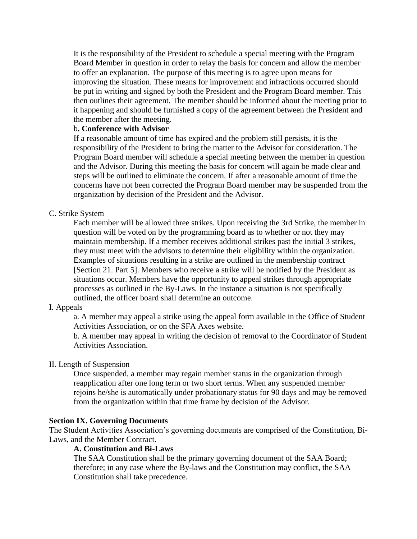It is the responsibility of the President to schedule a special meeting with the Program Board Member in question in order to relay the basis for concern and allow the member to offer an explanation. The purpose of this meeting is to agree upon means for improving the situation. These means for improvement and infractions occurred should be put in writing and signed by both the President and the Program Board member. This then outlines their agreement. The member should be informed about the meeting prior to it happening and should be furnished a copy of the agreement between the President and the member after the meeting.

#### b**. Conference with Advisor**

If a reasonable amount of time has expired and the problem still persists, it is the responsibility of the President to bring the matter to the Advisor for consideration. The Program Board member will schedule a special meeting between the member in question and the Advisor. During this meeting the basis for concern will again be made clear and steps will be outlined to eliminate the concern. If after a reasonable amount of time the concerns have not been corrected the Program Board member may be suspended from the organization by decision of the President and the Advisor.

### C. Strike System

Each member will be allowed three strikes. Upon receiving the 3rd Strike, the member in question will be voted on by the programming board as to whether or not they may maintain membership. If a member receives additional strikes past the initial 3 strikes, they must meet with the advisors to determine their eligibility within the organization. Examples of situations resulting in a strike are outlined in the membership contract [Section 21. Part 5]. Members who receive a strike will be notified by the President as situations occur. Members have the opportunity to appeal strikes through appropriate processes as outlined in the By-Laws. In the instance a situation is not specifically outlined, the officer board shall determine an outcome.

### I. Appeals

a. A member may appeal a strike using the appeal form available in the Office of Student Activities Association, or on the SFA Axes website.

b. A member may appeal in writing the decision of removal to the Coordinator of Student Activities Association.

### II. Length of Suspension

Once suspended, a member may regain member status in the organization through reapplication after one long term or two short terms. When any suspended member rejoins he/she is automatically under probationary status for 90 days and may be removed from the organization within that time frame by decision of the Advisor.

### **Section IX. Governing Documents**

The Student Activities Association's governing documents are comprised of the Constitution, Bi-Laws, and the Member Contract.

#### **A. Constitution and Bi-Laws**

The SAA Constitution shall be the primary governing document of the SAA Board; therefore; in any case where the By-laws and the Constitution may conflict, the SAA Constitution shall take precedence.